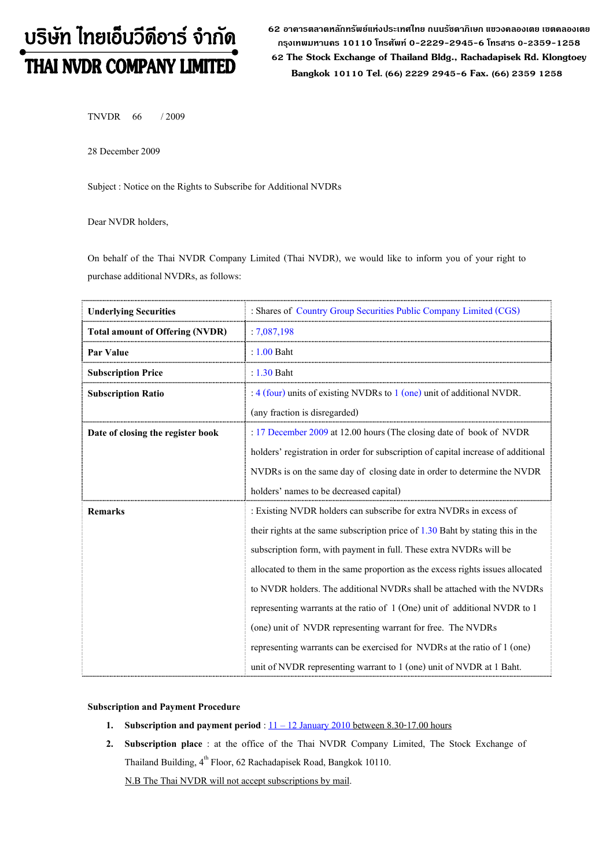# บริษัท ไทยเอ็นวีดีอาร์ จำกัด THAI NVDR COMPANY LIMITED

62 อาดารตลาดหลักทรัพย์แห่งประเทศไทย ถนนรัซดาภิเษก แขวงดลองเตย เขตดลองเตย กรุงเทพมหานดร 10110 โทรศัพท์ 0-2229-2945-6 โทรสาร 0-2359-1258 62 The Stock Exchange of Thailand Bldg., Rachadapisek Rd. Klongtoey Bangkok 10110 Tel. (66) 2229 2945-6 Fax. (66) 2359 1258

TNVDR 66 / 2009

28 December 2009

Subject : Notice on the Rights to Subscribe for Additional NVDRs

Dear NVDR holders,

On behalf of the Thai NVDR Company Limited (Thai NVDR), we would like to inform you of your right to purchase additional NVDRs, as follows:

| <b>Underlying Securities</b>           | : Shares of Country Group Securities Public Company Limited (CGS)                 |  |  |
|----------------------------------------|-----------------------------------------------------------------------------------|--|--|
| <b>Total amount of Offering (NVDR)</b> | :7,087,198                                                                        |  |  |
| <b>Par Value</b>                       | $: 1.00$ Baht                                                                     |  |  |
| <b>Subscription Price</b>              | : $1.30$ Baht                                                                     |  |  |
| <b>Subscription Ratio</b>              | : $4$ (four) units of existing NVDRs to $1$ (one) unit of additional NVDR.        |  |  |
|                                        | (any fraction is disregarded)                                                     |  |  |
| Date of closing the register book      | : 17 December 2009 at 12.00 hours (The closing date of book of NVDR               |  |  |
|                                        | holders' registration in order for subscription of capital increase of additional |  |  |
|                                        | NVDRs is on the same day of closing date in order to determine the NVDR           |  |  |
|                                        | holders' names to be decreased capital)                                           |  |  |
| Remarks                                | : Existing NVDR holders can subscribe for extra NVDRs in excess of                |  |  |
|                                        | their rights at the same subscription price of $1.30$ Baht by stating this in the |  |  |
|                                        | subscription form, with payment in full. These extra NVDRs will be                |  |  |
|                                        | allocated to them in the same proportion as the excess rights issues allocated    |  |  |
|                                        | to NVDR holders. The additional NVDRs shall be attached with the NVDRs            |  |  |
|                                        | representing warrants at the ratio of $1$ (One) unit of additional NVDR to 1      |  |  |
|                                        | (one) unit of NVDR representing warrant for free. The NVDRs                       |  |  |
|                                        | representing warrants can be exercised for NVDRs at the ratio of 1 (one)          |  |  |
|                                        | unit of NVDR representing warrant to 1 (one) unit of NVDR at 1 Baht.              |  |  |

Subscription and Payment Procedure

- 1. Subscription and payment period :  $11 12$  January 2010 between 8.30-17.00 hours
- 2. Subscription place : at the office of the Thai NVDR Company Limited, The Stock Exchange of Thailand Building,  $4^{\text{th}}$  Floor, 62 Rachadapisek Road, Bangkok 10110.

N.B The Thai NVDR will not accept subscriptions by mail.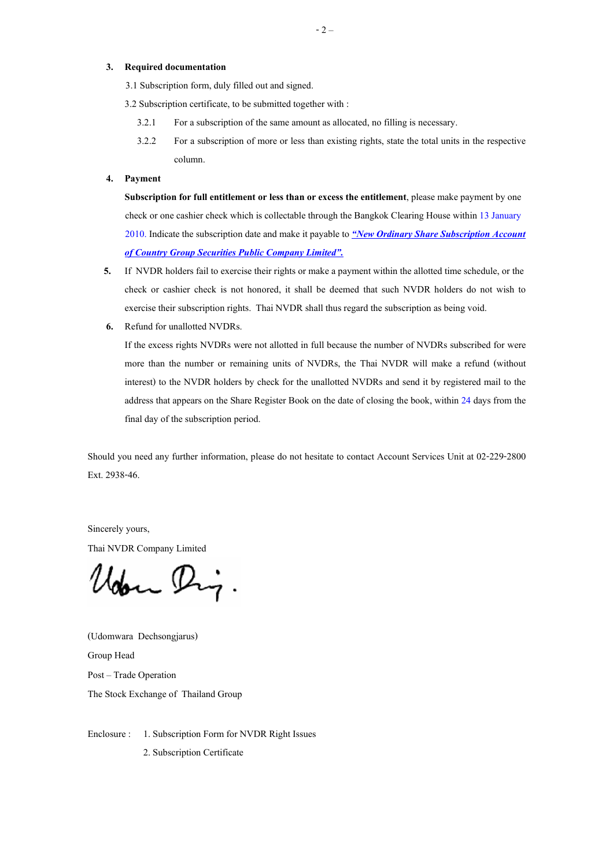### 3. Required documentation

3.1 Subscription form, duly filled out and signed.

3.2 Subscription certificate, to be submitted together with :

- 3.2.1 For a subscription of the same amount as allocated, no filling is necessary.
- 3.2.2 For a subscription of more or less than existing rights, state the total units in the respective column.

## 4. Payment

Subscription for full entitlement or less than or excess the entitlement, please make payment by one check or one cashier check which is collectable through the Bangkok Clearing House within 13 January 2010. Indicate the subscription date and make it payable to "New Ordinary Share Subscription Account of Country Group Securities Public Company Limited".

- 5. If NVDR holders fail to exercise their rights or make a payment within the allotted time schedule, or the check or cashier check is not honored, it shall be deemed that such NVDR holders do not wish to exercise their subscription rights. Thai NVDR shall thus regard the subscription as being void.
- 6. Refund for unallotted NVDRs.

If the excess rights NVDRs were not allotted in full because the number of NVDRs subscribed for were more than the number or remaining units of NVDRs, the Thai NVDR will make a refund (without interest) to the NVDR holders by check for the unallotted NVDRs and send it by registered mail to the address that appears on the Share Register Book on the date of closing the book, within 24 days from the final day of the subscription period.

Should you need any further information, please do not hesitate to contact Account Services Unit at 02-229-2800 Ext. 2938-46.

Sincerely yours,

Thai NVDR Company Limited

loon Dig

(Udomwara Dechsongjarus) Group Head Post - Trade Operation The Stock Exchange of Thailand Group

Enclosure : 1. Subscription Form for NVDR Right Issues

2. Subscription Certificate